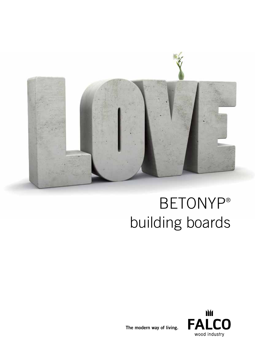

# BETONYP® building boards



The modern way of living.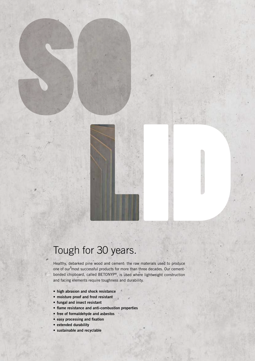## Tough for 30 years.

Healthy, debarked pine wood and cement: the raw materials used to produce one of our most successful products for more than three decades. Our cementbonded chipboard, called BETONYP®, is used where lightweight construction and facing elements require toughness and durability.

- • high abrasion and shock resistance
- moisture proof and frost resistant
- • fungal and insect resistant
- flame resistance and anti-combustion properties
- free of formaldehyde and asbestos
- easy processing and fixation
- extended durability
- • sustainable and recyclable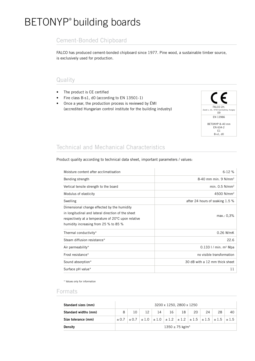### BETONYP® building boards

#### Cement-Bonded Chipboard

FALCO has produced cement-bonded chipboard since 1977. Pine wood, a sustainable timber source, is exclusively used for production.

#### Quality

- The product is CE certified
- Fire class B-s1, d0 (according to EN 13501-1)
- Once a year, the production process is reviewed by ÉMI (accredited Hungarian control institute for the building industry)



#### Technical and Mechanical Characteristics

Product quality according to technical data sheet, important parameters / values:

| Moisture content after acclimatisation                                                                                                                                                            | $6 - 12%$                           |  |  |  |
|---------------------------------------------------------------------------------------------------------------------------------------------------------------------------------------------------|-------------------------------------|--|--|--|
| Bending strength                                                                                                                                                                                  | 8-40 mm min. $9 \text{ N/mm}^2$     |  |  |  |
| Vertical tensile strength to the board                                                                                                                                                            | min. $0.5$ N/mm <sup>2</sup>        |  |  |  |
| Modulus of elasticity                                                                                                                                                                             | 4500 N/mm <sup>2</sup>              |  |  |  |
| Swelling                                                                                                                                                                                          | after 24 hours of soaking 1.5 %     |  |  |  |
| Dimensional change effected by the humidity<br>in longitudinal and lateral direction of the sheet<br>respectively at a temperature of 20°C upon relative<br>humidity increasing from 25 % to 85 % | max.: 0,3%                          |  |  |  |
| Thermal conductivity*                                                                                                                                                                             | $0.26$ W/mK                         |  |  |  |
| Steam diffusion resistance*                                                                                                                                                                       | 22.6                                |  |  |  |
| Air permeability*                                                                                                                                                                                 | $0.133$ I / min. m <sup>2</sup> Mpa |  |  |  |
| Frost resistance*                                                                                                                                                                                 | no visible transformation           |  |  |  |
| Sound absorption*                                                                                                                                                                                 | 30 dB with a 12 mm thick sheet      |  |  |  |
| Surface pH value*                                                                                                                                                                                 | 11                                  |  |  |  |

\* Values only for information

#### Formats

| Standard sizes (mm)  | 3200 x 1250, 2800 x 1250        |    |                 |    |                                                                                           |    |      |    |    |    |
|----------------------|---------------------------------|----|-----------------|----|-------------------------------------------------------------------------------------------|----|------|----|----|----|
| Standard widths (mm) | 8                               | 10 | 12 <sup>°</sup> | 14 | 16                                                                                        | 18 | 20 l | 24 | 28 | 40 |
| Size tolerance (mm)  | $\pm 0.7$                       |    |                 |    | $\pm 0.7$ $\pm 1.0$ $\pm 1.0$ $\pm 1.2$ $\pm 1.2$ $\pm 1.5$ $\pm 1.5$ $\pm 1.5$ $\pm 1.5$ |    |      |    |    |    |
| <b>Density</b>       | $1350 \pm 75$ kg/m <sup>3</sup> |    |                 |    |                                                                                           |    |      |    |    |    |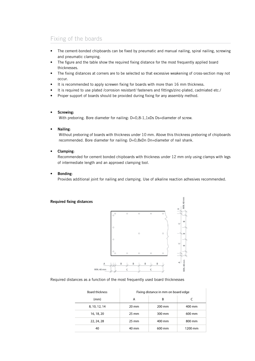### Fixing of the boards

- The cement-bonded chipboards can be fixed by pneumatic and manual nailing, spiral nailing, screwing and pneumatic clamping.
- The figure and the table show the required fixing distance for the most frequently applied board thicknesses.
- The fixing distances at corners are to be selected so that excessive weakening of cross-section may not occur.
- It is recommended to apply screwen fixing for boards with more than 16 mm thickness.
- It is required to use plated /corrosion resistant/ fasteners and fittings/zinc-plated, cadmiated etc./
- Proper support of boards should be provided during fixing for any assembly method.

#### Screwing:

With preboring. Bore diameter for nailing: D=0,8-1,1xDs Ds=diameter of screw.

Nailing:

Without preboring of boards with thickness under 10 mm. Above this thickness preboring of chipboards recommended. Bore diameter for nailing: D=0,8xDn Dn=diameter of nail shank.

Clamping:

Recommended for cement bonded chipboards with thickness under 12 mm only using clamps with legs of intermediate length and an approved clamping tool.

**Bonding:** 

Provides additional joint for nailing and clamping. Use of alkaline reaction adhesives recommended.





Required distances as a function of the most frequently used board thicknesses

| <b>Board thickness</b> | Fixing distance in mm on board edge |        |         |  |  |
|------------------------|-------------------------------------|--------|---------|--|--|
| (mm)                   | А                                   | B      |         |  |  |
| 8, 10, 12, 14          | $20 \text{ mm}$                     | 200 mm | 400 mm  |  |  |
| 16, 18, 20             | $25 \text{ mm}$                     | 300 mm | 600 mm  |  |  |
| 22, 24, 28             | $25 \text{ mm}$                     | 400 mm | 800 mm  |  |  |
| 40                     | 40 mm                               | 600 mm | 1200 mm |  |  |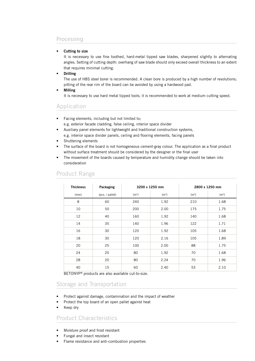#### Processing

#### Cutting to size

It is necessary to use fine toothed, hard-metal tipped saw blades, sharpened slightly to alternating angles. Setting of cutting depth: overhang of saw blade should only exceed overall thickness to an extent that requires minimal cutting.

#### **Drilling**

The use of H8S steel borer is recommended. A clean bore is produced by a high number of revolutions; pitting of the rear rim of the board can be avoided by using a hardwood pad.

**Milling** 

It is necessary to use hard metal tipped tools; it is recommended to work at medium cutting speed.

#### Application

- Facing elements, including but not limited to;
	- e.g. exterior facade cladding, false ceiling, interior space divider
- Auxiliary panel elements for lightweight and traditional construction systems,
	- e.g. interior space divider panels, ceiling and flooring elements, facing panels
- Shuttering elements
- The surface of the board is not homogeneous cement-gray colour. The application as a final product without surface treatment should be considered by the designer or the final user
- The movement of the boards caused by temperature and humidity change should be taken into consideration

| <b>Thickness</b> | Packaging       | 3200 x 1250 mm    |                   |                   | 2800 x 1250 mm    |
|------------------|-----------------|-------------------|-------------------|-------------------|-------------------|
| (mm)             | (pcs. / pallet) | (m <sup>2</sup> ) | (m <sup>3</sup> ) | (m <sup>2</sup> ) | (m <sup>3</sup> ) |
| 8                | 60              | 240               | 1.92              | 210               | 1.68              |
| 10               | 50              | 200               | 2.00              | 175               | 1.75              |
| 12               | 40              | 160               | 1.92              | 140               | 1.68              |
| 14               | 35              | 140               | 1.96              | 122               | 1.71              |
| 16               | 30              | 120               | 1.92              | 105               | 1.68              |
| 18               | 30              | 120               | 2.16              | 105               | 1.89              |
| 20               | 25              | 100               | 2.00              | 88                | 1.75              |
| 24               | 20              | 80                | 1.92              | 70                | 1.68              |
| 28               | 20              | 80                | 2.24              | 70                | 1.96              |
| 40               | 15              | 60                | 2.40              | 53                | 2.10              |

#### Product Range

BETONYP® products are also available cut-to-size.

#### Storage and Transportation

- Protect against damage, contamination and the impact of weather
- Protect the top board of an open pallet against heat
- Keep dry

#### Product Characteristics

- Moisture proof and frost resistant
- Fungal and insect resistant
- Flame resistance and anti-combustion properties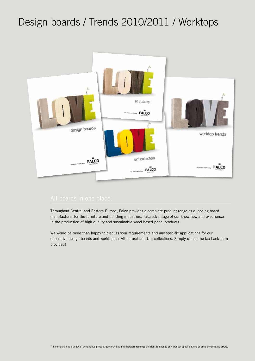## Design boards / Trends 2010/2011 / Worktops



Throughout Central and Eastern Europe, Falco provides a complete product range as a leading board manufacturer for the furniture and building industries. Take advantage of our know-how and experience in the production of high quality and sustainable wood based panel products.

We would be more than happy to discuss your requirements and any specific applications for our decorative design boards and worktops or All natural and Uni collections. Simply utilise the fax back form provided!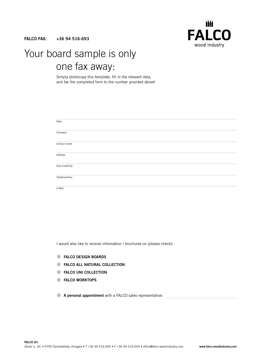FALCO FAX: +36 94 516-693



### Your board sample is only one fax away:

Simply photocopy this template, fill in the relevant data, and fax the completed form to the number provided above!

I would also like to receive information / brochures on (please check):

- **FALCO DESIGN BOARDS**
- **FALCO ALL NATURAL COLLECTION**
- **EXECO UNI COLLECTION**
- **FALCO WORKTOPS**
- A personal appointment with a FALCO sales representative: